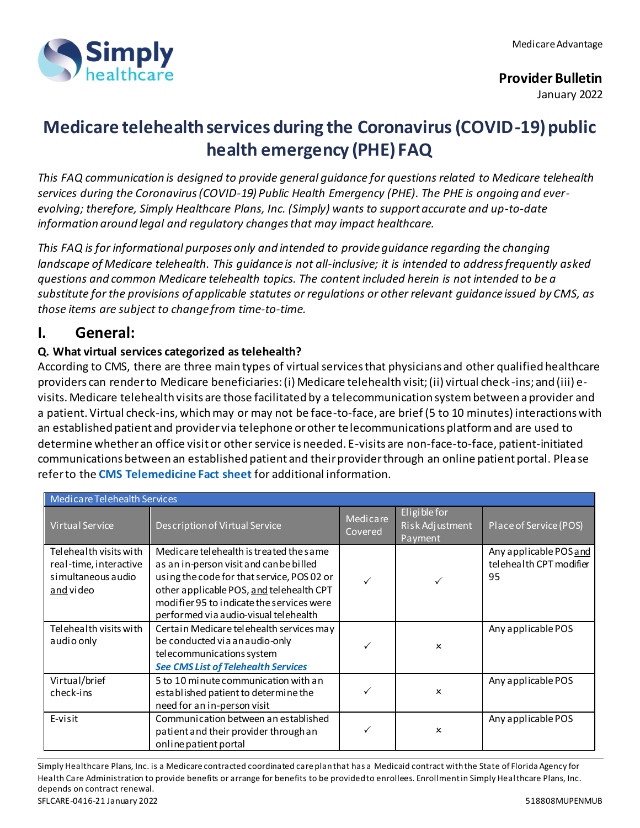

# **Medicare telehealth services during the Coronavirus (COVID-19) public health emergency (PHE) FAQ**

*This FAQ communication is designed to provide general guidance for questions related to Medicare telehealth services during the Coronavirus (COVID-19) Public Health Emergency (PHE). The PHE is ongoing and everevolving; therefore, Simply Healthcare Plans, Inc. (Simply) wants to support accurate and up-to-date information around legal and regulatory changes that may impact healthcare.*

*This FAQ is for informational purposes only and intended to provide guidance regarding the changing landscape of Medicare telehealth. This guidance is not all-inclusive; it is intended to address frequently asked questions and common Medicare telehealth topics. The content included herein is not intended to be a substitute for the provisions of applicable statutes or regulations or other relevant guidance issued by CMS, as those items are subject to change from time-to-time.*

# **I. General:**

# **Q. What virtual services categorized as telehealth?**

According to CMS, there are three main types of virtual services that physicians and other qualified healthcare providers can render to Medicare beneficiaries: (i) Medicare telehealth visit; (ii) virtual check -ins; and (iii) evisits. Medicare telehealth visits are those facilitated by a telecommunication system between a provider and a patient. Virtual check-ins, which may or may not be face-to-face, are brief (5 to 10 minutes) interactions with an established patient and provider via telephone or other telecommunications platform and are used to determine whether an office visit or other service is needed. E-visits are non-face-to-face, patient-initiated communications between an established patient and their provider through an online patient portal. Please refer to the **[CMS Telemedicine Fact sheet](https://www.cms.gov/newsroom/fact-sheets/medicare-telemedicine-health-care-provider-fact-sheet)** for additional information.

| Medicare Telehealth Services                                                        |                                                                                                                                                                                                                                                                    |                     |                                            |                                                         |
|-------------------------------------------------------------------------------------|--------------------------------------------------------------------------------------------------------------------------------------------------------------------------------------------------------------------------------------------------------------------|---------------------|--------------------------------------------|---------------------------------------------------------|
| <b>Virtual Service</b>                                                              | Description of Virtual Service                                                                                                                                                                                                                                     | Medicare<br>Covered | Eligible for<br>Risk Adjustment<br>Payment | Place of Service (POS)                                  |
| Telehealth visits with<br>real-time, interactive<br>simultaneous audio<br>and video | Medicare telehealth is treated the same<br>as an in-person visit and can be billed<br>using the code for that service, POS 02 or<br>other applicable POS, and telehealth CPT<br>modifier 95 to indicate the services were<br>performed via audio-visual telehealth |                     |                                            | Any applicable POS and<br>telehealth CPT modifier<br>95 |
| Telehealth visits with<br>audio only                                                | Certain Medicare telehealth services may<br>be conducted via an audio-only<br>telecommunications system<br><b>See CMS List of Telehealth Services</b>                                                                                                              |                     | $\boldsymbol{\mathsf{x}}$                  | Any applicable POS                                      |
| Virtual/brief<br>check-ins                                                          | 5 to 10 minute communication with an<br>established patient to determine the<br>need for an in-person visit                                                                                                                                                        |                     | x                                          | Any applicable POS                                      |
| E-visit                                                                             | Communication between an established<br>patient and their provider through an<br>online patient portal                                                                                                                                                             |                     | x                                          | Any applicable POS                                      |

Simply Healthcare Plans, Inc. is a Medicare contracted coordinated care plan that has a Medicaid contract with the State of Florida Agency for Health Care Administration to provide benefits or arrange for benefits to be provided to enrollees. Enrollment in Simply Healthcare Plans, Inc. depends on contract renewal. SFLCARE-0416-21 January 2022 2003 12:30 12:30 12:30 12:30 12:30 12:30 12:30 12:30 12:30 12:30 12:30 12:30 12:30 12:30 12:30 12:30 12:30 12:30 12:30 12:30 12:30 12:30 12:30 12:30 12:30 12:30 12:30 12:30 12:30 12:30 12:30 12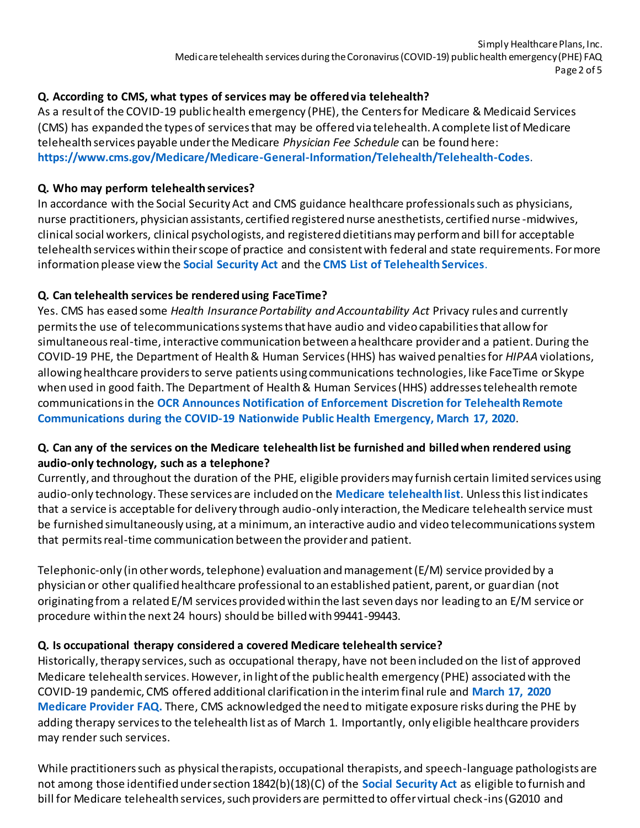### **Q. According to CMS, what types of services may be offered via telehealth?**

As a result of the COVID-19 public health emergency (PHE), the Centers for Medicare & Medicaid Services (CMS) has expanded the types of services that may be offered via telehealth. A complete list of Medicare telehealth services payable under the Medicare *Physician Fee Schedule* can be found here: **<https://www.cms.gov/Medicare/Medicare-General-Information/Telehealth/Telehealth-Codes>**.

#### **Q. Who may perform telehealth services?**

In accordance with the Social Security Act and CMS guidance healthcare professionals such as physicians, nurse practitioners, physician assistants, certified registered nurse anesthetists, certified nurse -midwives, clinical social workers, clinical psychologists, and registered dietitians may perform and bill for acceptable telehealth services within their scope of practice and consistent with federal and state requirements. For more information please view the **[Social Security Act](https://www.ssa.gov/OP_Home/ssact/title18/1842.htm)** and the **[CMS List of Telehealth Services](https://www.cms.gov/Medicare/Medicare-General-Information/Telehealth/Telehealth-Codes)**.

#### **Q. Can telehealth services be rendered using FaceTime?**

Yes. CMS has eased some *Health Insurance Portability and Accountability Act* Privacy rules and currently permits the use of telecommunications systems that have audio and video capabilities that allow for simultaneous real-time, interactive communication between a healthcare provider and a patient. During the COVID-19 PHE, the Department of Health & Human Services (HHS) has waived penalties for *HIPAA* violations, allowing healthcare providers to serve patients using communications technologies, like FaceTime or Skype when used in good faith. The Department of Health & Human Services (HHS) addresses telehealth remote communications in the **[OCR Announces Notification of Enforcement Discretion for Telehealth Remote](https://www.hhs.gov/about/news/2020/03/17/ocr-announces-notification-of-enforcement-discretion-for-telehealth-remote-communications-during-the-covid-19.html)  [Communications during the COVID-19 Nationwide Public Health Emergency, March 17, 2020](https://www.hhs.gov/about/news/2020/03/17/ocr-announces-notification-of-enforcement-discretion-for-telehealth-remote-communications-during-the-covid-19.html)**.

#### **Q. Can any of the services on the Medicare telehealth list be furnished and billed when rendered using audio-only technology, such as a telephone?**

Currently, and throughout the duration of the PHE, eligible providers may furnish certain limited services using audio-only technology. These services are included on the **[Medicare telehealth list](https://www.cms.gov/Medicare/Medicare-General-Information/Telehealth/Telehealth-Codes)**. Unless this list indicates that a service is acceptable for delivery through audio-only interaction, the Medicare telehealth service must be furnished simultaneously using, at a minimum, an interactive audio and video telecommunications system that permits real-time communication between the provider and patient.

Telephonic-only (in other words, telephone) evaluation and management (E/M) service provided by a physician or other qualified healthcare professional to an established patient, parent, or guardian (not originating from a related E/M services provided within the last seven days nor leading to an E/M service or procedure within the next 24 hours) should be billed with 99441-99443.

# **Q. Is occupational therapy considered a covered Medicare telehealth service?**

Historically, therapy services, such as occupational therapy, have not been included on the list of approved Medicare telehealth services. However, in light of the public health emergency (PHE) associated with the COVID-19 pandemic, CMS offered additional clarification in the interim final rule and **[March 17, 2020](https://www.cms.gov/newsroom/fact-sheets/medicare-telemedicine-health-care-provider-fact-sheet)  [Medicare Provider FAQ.](https://www.cms.gov/newsroom/fact-sheets/medicare-telemedicine-health-care-provider-fact-sheet)** There, CMS acknowledged the need to mitigate exposure risks during the PHE by adding therapy services to the telehealth list as of March 1. Importantly, only eligible healthcare providers may render such services.

While practitioners such as physical therapists, occupational therapists, and speech-language pathologists are not among those identified under section 1842(b)(18)(C) of the **[Social Security Act](https://www.ssa.gov/OP_Home/ssact/title18/1842.htm)** as eligible to furnish and bill for Medicare telehealth services, such providers are permitted to offer virtual check-ins (G2010 and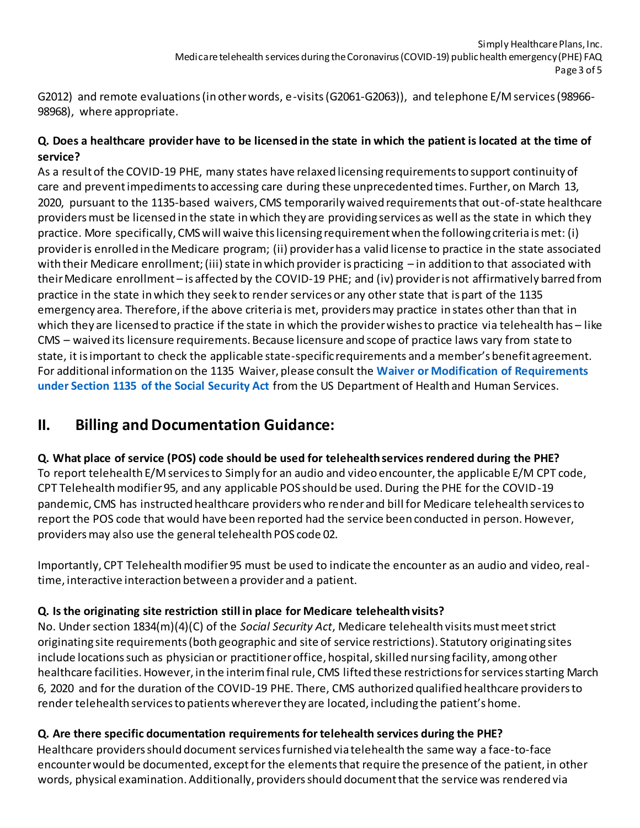G2012) and remote evaluations (in other words, e-visits (G2061-G2063)), and telephone E/M services (98966- 98968), where appropriate.

# **Q. Does a healthcare provider have to be licensed in the state in which the patient is located at the time of service?**

As a result of the COVID-19 PHE, many states have relaxed licensing requirements to support continuity of care and prevent impediments to accessing care during these unprecedented times. Further, on March 13, 2020, pursuant to the 1135-based waivers, CMS temporarily waived requirements that out-of-state healthcare providers must be licensed in the state in which they are providing services as well as the state in which they practice. More specifically, CMS will waive this licensing requirement when the following criteria is met: (i) provider is enrolled in the Medicare program; (ii) provider has a valid license to practice in the state associated with their Medicare enrollment; (iii) state in which provider is practicing – in addition to that associated with their Medicare enrollment – is affected by the COVID-19 PHE; and (iv) provider is not affirmatively barred from practice in the state in which they seek to render services or any other state that is part of the 1135 emergency area. Therefore, if the above criteria is met, providers may practice in states other than that in which they are licensed to practice if the state in which the provider wishes to practice via telehealth has – like CMS – waived its licensure requirements. Because licensure and scope of practice laws vary from state to state, it is important to check the [applicable state-specific requirements](https://www.cchpca.org/covid-19-related-state-actions) and a member's benefit agreement. For additional information on the 1135 Waiver, please consult the **[Waiver or Modification of Requirements](https://www.phe.gov/emergency/news/healthactions/section1135/Pages/covid19-13March20.aspx)  [under Section 1135 of the Social Security Act](https://www.phe.gov/emergency/news/healthactions/section1135/Pages/covid19-13March20.aspx)** from the US Department of Health and Human Services.

# **II. Billing and Documentation Guidance:**

# **Q. What place of service (POS) code should be used for telehealth services rendered during the PHE?**

To report telehealth E/M services to Simply for an audio and video encounter, the applicable E/M CPT code, CPT Telehealth modifier 95, and any applicable POS should be used. During the PHE for the COVID-19 pandemic, CMS has instructed healthcare providers who render and bill for Medicare telehealth services to report the POS code that would have been reported had the service been conducted in person. However, providers may also use the general telehealth POS code 02.

Importantly, CPT Telehealth modifier 95 must be used to indicate the encounter as an audio and video, realtime, interactive interaction between a provider and a patient.

# **Q. Is the originating site restriction still in place for Medicare telehealth visits?**

No. Under section 1834(m)(4)(C) of the *Social Security Act*, Medicare telehealth visits must meet strict originating site requirements (both geographic and site of service restrictions). Statutory originating sites include locations such as physician or practitioner office, hospital, skilled nursing facility, among other healthcare facilities. However, in the interim final rule, CMS lifted these restrictions for services starting March 6, 2020 and for the duration of the COVID-19 PHE. There, CMS authorized qualified healthcare providers to render telehealth services to patients wherever they are located, including the patient's home.

# **Q. Are there specific documentation requirements for telehealth services during the PHE?**

Healthcare providers should document services furnished via telehealth the same way a face-to-face encounter would be documented, except for the elements that require the presence of the patient, in other words, physical examination. Additionally, providers should document that the service was rendered via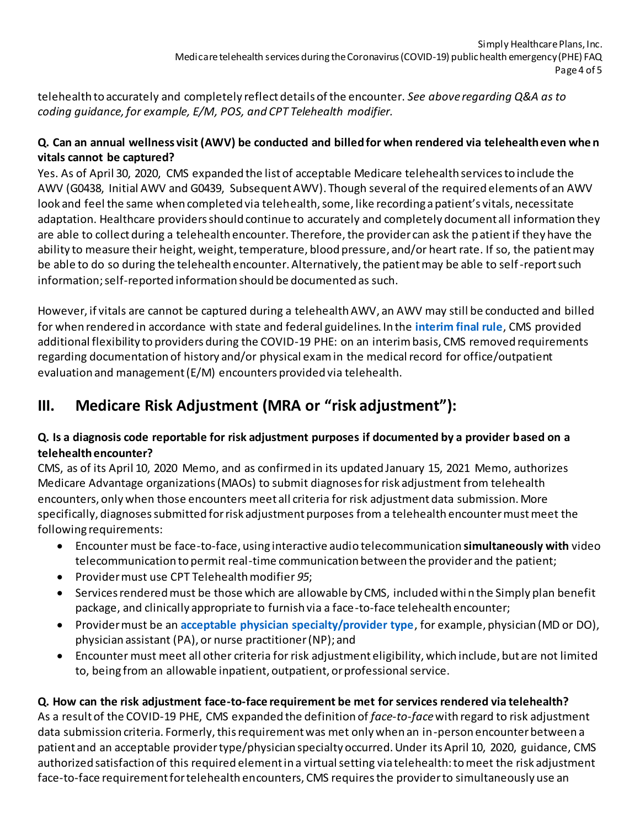telehealth to accurately and completely reflect details of the encounter. *See above regarding Q&A as to coding guidance, for example, E/M, POS, and CPT Telehealth modifier.* 

# **Q. Can an annual wellness visit (AWV) be conducted and billed for when rendered via telehealth even when vitals cannot be captured?**

Yes. As of April 30, 2020, CMS expanded the list of acceptable Medicare telehealth services to include the AWV (G0438, Initial AWV and G0439, Subsequent AWV). Though several of the required elements of an AWV look and feel the same when completed via telehealth, some, like recording a patient's vitals, necessitate adaptation. Healthcare providers should continue to accurately and completely document all information they are able to collect during a telehealth encounter. Therefore, the provider can ask the patient if they have the ability to measure their height, weight, temperature, blood pressure, and/or heart rate. If so, the patient may be able to do so during the telehealth encounter. Alternatively, the patient may be able to self-report such information; self-reported information should be documented as such.

However, if vitals are cannot be captured during a telehealth AWV, an AWV may still be conducted and billed for when rendered in accordance with state and federal guidelines. In the **[interim final rule](https://www.cms.gov/files/document/covid-final-ifc.pdf)**, CMS provided additional flexibility to providers during the COVID-19 PHE: on an interim basis, CMS removed requirements regarding documentation of history and/or physical exam in the medical record for office/outpatient evaluation and management (E/M) encounters provided via telehealth.

# **III. Medicare Risk Adjustment (MRA or "risk adjustment"):**

# **Q. Is a diagnosis code reportable for risk adjustment purposes if documented by a provider based on a telehealth encounter?**

CMS, as of its April 10, 2020 Memo, and as confirmed in its updated January 15, 2021 Memo, authorizes Medicare Advantage organizations (MAOs) to submit diagnoses for risk adjustment from telehealth encounters, only when those encounters meet all criteria for risk adjustment data submission. More specifically, diagnoses submitted for risk adjustment purposes from a telehealth encounter must meet the following requirements:

- Encounter must be face-to-face, using interactive audio telecommunication **simultaneously with** video telecommunication to permit real-time communication between the provider and the patient;
- Provider must use CPT Telehealth modifier *95*;
- Services rendered must be those which are allowable by CMS, included within the Simply plan benefit package, and clinically appropriate to furnish via a face-to-face telehealth encounter;
- Provider must be an **[acceptable physician specialty/provider type](https://www.csscoperations.com/internet/csscw3_files.nsf/F/CSSCAcceptable%20Physician%20Specialty%20Types%20PY2020.pdf/$FILE/Acceptable%20Physician%20Specialty%20Types%20PY2020.pdf)**, for example, physician (MD or DO), physician assistant (PA), or nurse practitioner (NP); and
- Encounter must meet all other criteria for risk adjustment eligibility, which include, but are not limited to, being from an allowable inpatient, outpatient, or professional service.

# **Q. How can the risk adjustment face-to-face requirement be met for services rendered via telehealth?**

As a result of the COVID-19 PHE, CMS expanded the definition of *face-to-face*with regard to risk adjustment data submission criteria. Formerly, this requirement was met only when an in-person encounter between a patient and an acceptable provider type/physician specialty occurred. Under its April 10, 2020, guidance, CMS authorized satisfaction of this required element in a virtual setting via telehealth: to meet the risk adjustment face-to-face requirement for telehealth encounters, CMS requires the provider to simultaneously use an